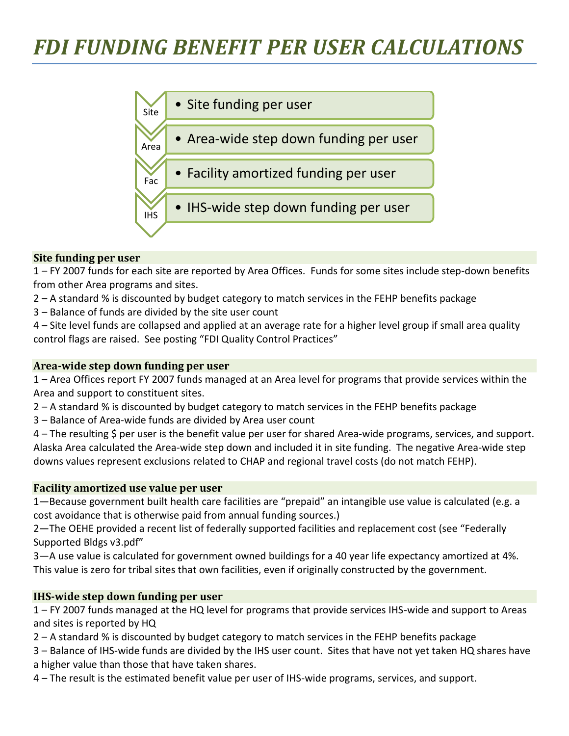# *FDI FUNDING BENEFIT PER USER CALCULATIONS*



#### **Site funding per user**

1 – FY 2007 funds for each site are reported by Area Offices. Funds for some sites include step-down benefits from other Area programs and sites.

- 2 A standard % is discounted by budget category to match services in the FEHP benefits package
- 3 Balance of funds are divided by the site user count

4 – Site level funds are collapsed and applied at an average rate for a higher level group if small area quality control flags are raised. See posting "FDI Quality Control Practices"

#### **Area-wide step down funding per user**

1 – Area Offices report FY 2007 funds managed at an Area level for programs that provide services within the Area and support to constituent sites.

- 2 A standard % is discounted by budget category to match services in the FEHP benefits package
- 3 Balance of Area-wide funds are divided by Area user count

4 – The resulting \$ per user is the benefit value per user for shared Area-wide programs, services, and support. Alaska Area calculated the Area-wide step down and included it in site funding. The negative Area-wide step downs values represent exclusions related to CHAP and regional travel costs (do not match FEHP).

#### **Facility amortized use value per user**

1—Because government built health care facilities are "prepaid" an intangible use value is calculated (e.g. a cost avoidance that is otherwise paid from annual funding sources.)

2—The OEHE provided a recent list of federally supported facilities and replacement cost (see "Federally Supported Bldgs v3.pdf"

3—A use value is calculated for government owned buildings for a 40 year life expectancy amortized at 4%. This value is zero for tribal sites that own facilities, even if originally constructed by the government.

#### **IHS-wide step down funding per user**

1 – FY 2007 funds managed at the HQ level for programs that provide services IHS-wide and support to Areas and sites is reported by HQ

- 2 A standard % is discounted by budget category to match services in the FEHP benefits package
- 3 Balance of IHS-wide funds are divided by the IHS user count. Sites that have not yet taken HQ shares have a higher value than those that have taken shares.
- 4 The result is the estimated benefit value per user of IHS-wide programs, services, and support.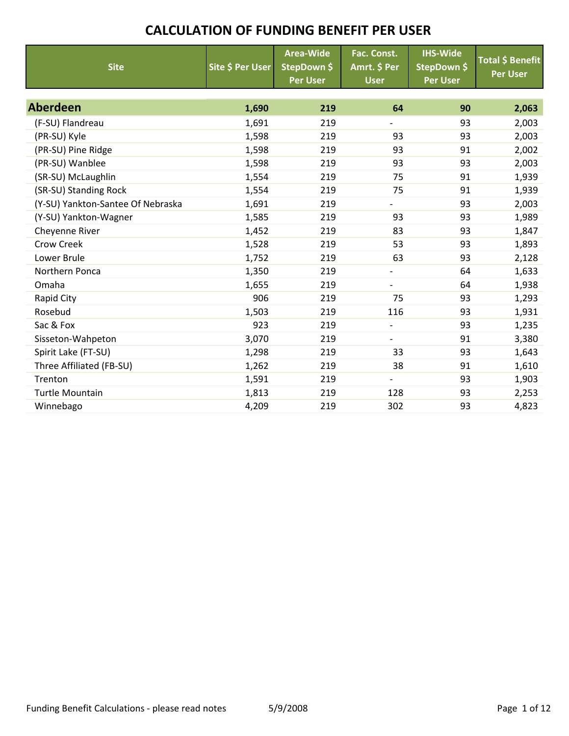| <b>Site</b>                       | Site \$ Per User | <b>Area-Wide</b><br>StepDown \$<br><b>Per User</b> | Fac. Const.<br>Amrt. \$ Per<br><b>User</b> | <b>IHS-Wide</b><br>StepDown \$<br><b>Per User</b> | <b>Total \$ Benefit</b><br><b>Per User</b> |
|-----------------------------------|------------------|----------------------------------------------------|--------------------------------------------|---------------------------------------------------|--------------------------------------------|
|                                   |                  |                                                    |                                            |                                                   |                                            |
| <b>Aberdeen</b>                   | 1,690            | 219                                                | 64                                         | 90                                                | 2,063                                      |
| (F-SU) Flandreau                  | 1,691            | 219                                                | $\overline{\phantom{0}}$                   | 93                                                | 2,003                                      |
| (PR-SU) Kyle                      | 1,598            | 219                                                | 93                                         | 93                                                | 2,003                                      |
| (PR-SU) Pine Ridge                | 1,598            | 219                                                | 93                                         | 91                                                | 2,002                                      |
| (PR-SU) Wanblee                   | 1,598            | 219                                                | 93                                         | 93                                                | 2,003                                      |
| (SR-SU) McLaughlin                | 1,554            | 219                                                | 75                                         | 91                                                | 1,939                                      |
| (SR-SU) Standing Rock             | 1,554            | 219                                                | 75                                         | 91                                                | 1,939                                      |
| (Y-SU) Yankton-Santee Of Nebraska | 1,691            | 219                                                | $\overline{\phantom{0}}$                   | 93                                                | 2,003                                      |
| (Y-SU) Yankton-Wagner             | 1,585            | 219                                                | 93                                         | 93                                                | 1,989                                      |
| Cheyenne River                    | 1,452            | 219                                                | 83                                         | 93                                                | 1,847                                      |
| Crow Creek                        | 1,528            | 219                                                | 53                                         | 93                                                | 1,893                                      |
| Lower Brule                       | 1,752            | 219                                                | 63                                         | 93                                                | 2,128                                      |
| Northern Ponca                    | 1,350            | 219                                                | $\overline{\phantom{0}}$                   | 64                                                | 1,633                                      |
| Omaha                             | 1,655            | 219                                                |                                            | 64                                                | 1,938                                      |
| Rapid City                        | 906              | 219                                                | 75                                         | 93                                                | 1,293                                      |
| Rosebud                           | 1,503            | 219                                                | 116                                        | 93                                                | 1,931                                      |
| Sac & Fox                         | 923              | 219                                                |                                            | 93                                                | 1,235                                      |
| Sisseton-Wahpeton                 | 3,070            | 219                                                | $\overline{\phantom{0}}$                   | 91                                                | 3,380                                      |
| Spirit Lake (FT-SU)               | 1,298            | 219                                                | 33                                         | 93                                                | 1,643                                      |
| Three Affiliated (FB-SU)          | 1,262            | 219                                                | 38                                         | 91                                                | 1,610                                      |
| Trenton                           | 1,591            | 219                                                | $\overline{\phantom{0}}$                   | 93                                                | 1,903                                      |
| <b>Turtle Mountain</b>            | 1,813            | 219                                                | 128                                        | 93                                                | 2,253                                      |
| Winnebago                         | 4,209            | 219                                                | 302                                        | 93                                                | 4,823                                      |
|                                   |                  |                                                    |                                            |                                                   |                                            |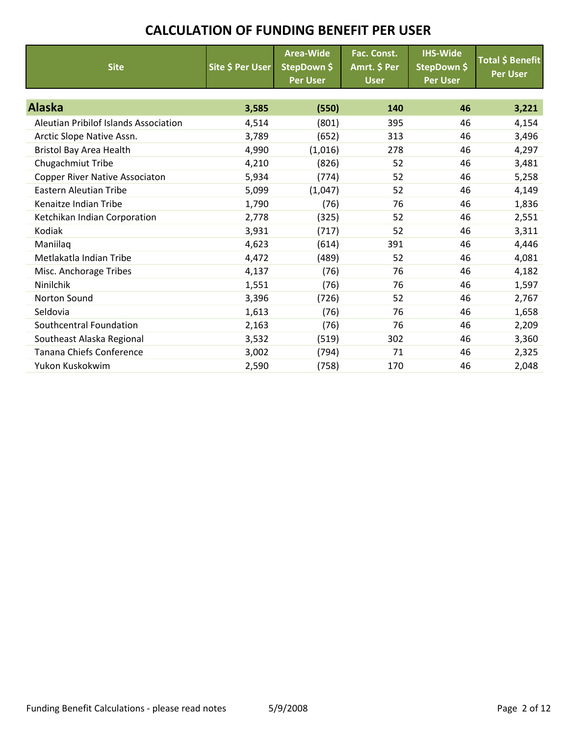| <b>Site</b>                                  | Site \$ Per User | <b>Area-Wide</b><br>StepDown \$<br><b>Per User</b> | Fac. Const.<br>Amrt. \$ Per<br><b>User</b> | <b>IHS-Wide</b><br>StepDown \$<br><b>Per User</b> | Total \$ Benefit<br><b>Per User</b> |
|----------------------------------------------|------------------|----------------------------------------------------|--------------------------------------------|---------------------------------------------------|-------------------------------------|
|                                              |                  |                                                    |                                            |                                                   |                                     |
| <b>Alaska</b>                                | 3,585            | (550)                                              | 140                                        | 46                                                | 3,221                               |
| <b>Aleutian Pribilof Islands Association</b> | 4,514            | (801)                                              | 395                                        | 46                                                | 4,154                               |
| Arctic Slope Native Assn.                    | 3,789            | (652)                                              | 313                                        | 46                                                | 3,496                               |
| <b>Bristol Bay Area Health</b>               | 4,990            | (1,016)                                            | 278                                        | 46                                                | 4,297                               |
| Chugachmiut Tribe                            | 4,210            | (826)                                              | 52                                         | 46                                                | 3,481                               |
| Copper River Native Associaton               | 5,934            | (774)                                              | 52                                         | 46                                                | 5,258                               |
| <b>Eastern Aleutian Tribe</b>                | 5,099            | (1,047)                                            | 52                                         | 46                                                | 4,149                               |
| Kenaitze Indian Tribe                        | 1,790            | (76)                                               | 76                                         | 46                                                | 1,836                               |
| Ketchikan Indian Corporation                 | 2,778            | (325)                                              | 52                                         | 46                                                | 2,551                               |
| Kodiak                                       | 3,931            | (717)                                              | 52                                         | 46                                                | 3,311                               |
| Maniilaq                                     | 4,623            | (614)                                              | 391                                        | 46                                                | 4,446                               |
| Metlakatla Indian Tribe                      | 4,472            | (489)                                              | 52                                         | 46                                                | 4,081                               |
| Misc. Anchorage Tribes                       | 4,137            | (76)                                               | 76                                         | 46                                                | 4,182                               |
| Ninilchik                                    | 1,551            | (76)                                               | 76                                         | 46                                                | 1,597                               |
| <b>Norton Sound</b>                          | 3,396            | (726)                                              | 52                                         | 46                                                | 2,767                               |
| Seldovia                                     | 1,613            | (76)                                               | 76                                         | 46                                                | 1,658                               |
| Southcentral Foundation                      | 2,163            | (76)                                               | 76                                         | 46                                                | 2,209                               |
| Southeast Alaska Regional                    | 3,532            | (519)                                              | 302                                        | 46                                                | 3,360                               |
| Tanana Chiefs Conference                     | 3,002            | (794)                                              | 71                                         | 46                                                | 2,325                               |
| Yukon Kuskokwim                              | 2,590            | (758)                                              | 170                                        | 46                                                | 2,048                               |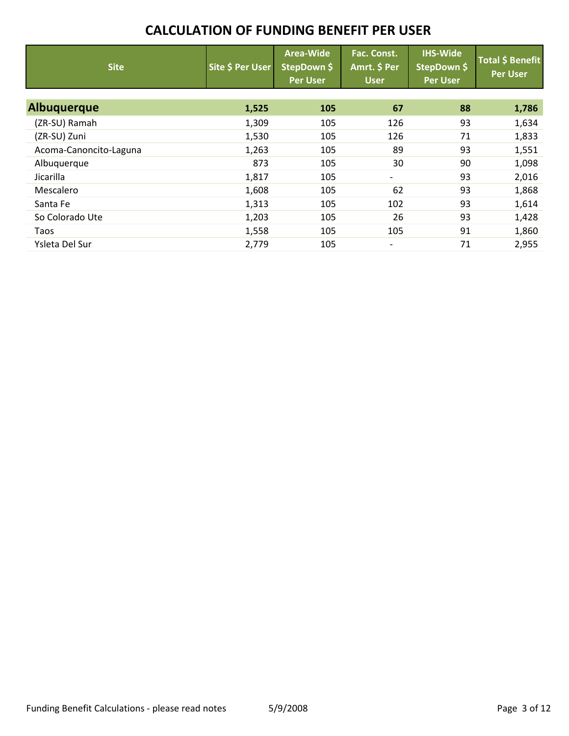| <b>Site</b>            | Site \$ Per User | <b>Area-Wide</b><br>StepDown \$<br><b>Per User</b> | Fac. Const.<br>Amrt. \$ Per<br><b>User</b> | <b>IHS-Wide</b><br>StepDown \$<br>Per User | <b>Total \$ Benefit</b><br><b>Per User</b> |
|------------------------|------------------|----------------------------------------------------|--------------------------------------------|--------------------------------------------|--------------------------------------------|
| <b>Albuguerque</b>     | 1,525            | 105                                                | 67                                         | 88                                         | 1,786                                      |
| (ZR-SU) Ramah          | 1,309            | 105                                                | 126                                        | 93                                         | 1,634                                      |
| (ZR-SU) Zuni           | 1,530            | 105                                                | 126                                        | 71                                         | 1,833                                      |
| Acoma-Canoncito-Laguna | 1,263            | 105                                                | 89                                         | 93                                         | 1,551                                      |
| Albuquerque            | 873              | 105                                                | 30                                         | 90                                         | 1,098                                      |
| Jicarilla              | 1,817            | 105                                                | $\overline{\phantom{0}}$                   | 93                                         | 2,016                                      |
| Mescalero              | 1,608            | 105                                                | 62                                         | 93                                         | 1,868                                      |
| Santa Fe               | 1,313            | 105                                                | 102                                        | 93                                         | 1,614                                      |
| So Colorado Ute        | 1,203            | 105                                                | 26                                         | 93                                         | 1,428                                      |
| Taos                   | 1,558            | 105                                                | 105                                        | 91                                         | 1,860                                      |
| Ysleta Del Sur         | 2,779            | 105                                                | $\overline{\phantom{a}}$                   | 71                                         | 2,955                                      |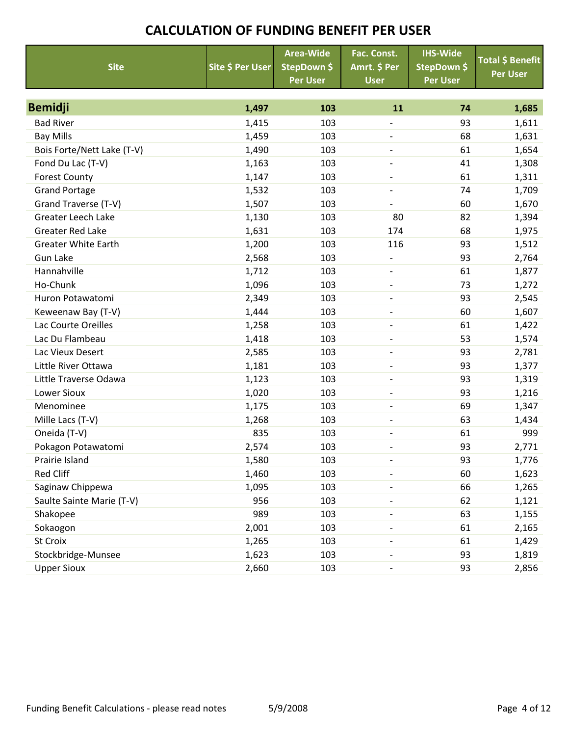|                            |                         | <b>Area-Wide</b> | Fac. Const.              | <b>IHS-Wide</b> | <b>Total \$ Benefit</b> |
|----------------------------|-------------------------|------------------|--------------------------|-----------------|-------------------------|
| <b>Site</b>                | <b>Site \$ Per User</b> | StepDown \$      | Amrt. \$ Per             | StepDown \$     | <b>Per User</b>         |
|                            |                         | <b>Per User</b>  | <b>User</b>              | <b>Per User</b> |                         |
|                            |                         |                  |                          |                 |                         |
| <b>Bemidji</b>             | 1,497                   | 103              | 11                       | 74              | 1,685                   |
| <b>Bad River</b>           | 1,415                   | 103              | $\qquad \qquad -$        | 93              | 1,611                   |
| <b>Bay Mills</b>           | 1,459                   | 103              | $\overline{\phantom{0}}$ | 68              | 1,631                   |
| Bois Forte/Nett Lake (T-V) | 1,490                   | 103              | $\overline{\phantom{a}}$ | 61              | 1,654                   |
| Fond Du Lac (T-V)          | 1,163                   | 103              | $\overline{\phantom{a}}$ | 41              | 1,308                   |
| <b>Forest County</b>       | 1,147                   | 103              | $\overline{\phantom{a}}$ | 61              | 1,311                   |
| <b>Grand Portage</b>       | 1,532                   | 103              | $\overline{\phantom{a}}$ | 74              | 1,709                   |
| Grand Traverse (T-V)       | 1,507                   | 103              | $\overline{\phantom{a}}$ | 60              | 1,670                   |
| Greater Leech Lake         | 1,130                   | 103              | 80                       | 82              | 1,394                   |
| <b>Greater Red Lake</b>    | 1,631                   | 103              | 174                      | 68              | 1,975                   |
| <b>Greater White Earth</b> | 1,200                   | 103              | 116                      | 93              | 1,512                   |
| <b>Gun Lake</b>            | 2,568                   | 103              | $\overline{\phantom{a}}$ | 93              | 2,764                   |
| Hannahville                | 1,712                   | 103              | $\overline{\phantom{a}}$ | 61              | 1,877                   |
| Ho-Chunk                   | 1,096                   | 103              | $\overline{\phantom{a}}$ | 73              | 1,272                   |
| Huron Potawatomi           | 2,349                   | 103              | $\qquad \qquad -$        | 93              | 2,545                   |
| Keweenaw Bay (T-V)         | 1,444                   | 103              | $\overline{\phantom{a}}$ | 60              | 1,607                   |
| Lac Courte Oreilles        | 1,258                   | 103              | $\overline{\phantom{0}}$ | 61              | 1,422                   |
| Lac Du Flambeau            | 1,418                   | 103              | $\overline{\phantom{a}}$ | 53              | 1,574                   |
| Lac Vieux Desert           | 2,585                   | 103              | $\overline{\phantom{a}}$ | 93              | 2,781                   |
| Little River Ottawa        | 1,181                   | 103              | $\overline{\phantom{a}}$ | 93              | 1,377                   |
| Little Traverse Odawa      | 1,123                   | 103              | $\qquad \qquad -$        | 93              | 1,319                   |
| <b>Lower Sioux</b>         | 1,020                   | 103              | $\overline{\phantom{a}}$ | 93              | 1,216                   |
| Menominee                  | 1,175                   | 103              | $\overline{\phantom{a}}$ | 69              | 1,347                   |
| Mille Lacs (T-V)           | 1,268                   | 103              | $\overline{\phantom{a}}$ | 63              | 1,434                   |
| Oneida (T-V)               | 835                     | 103              | $\overline{\phantom{a}}$ | 61              | 999                     |
| Pokagon Potawatomi         | 2,574                   | 103              |                          | 93              | 2,771                   |
| Prairie Island             | 1,580                   | 103              |                          | 93              | 1,776                   |
| <b>Red Cliff</b>           | 1,460                   | 103              |                          | 60              | 1,623                   |
| Saginaw Chippewa           | 1,095                   | 103              |                          | 66              | 1,265                   |
| Saulte Sainte Marie (T-V)  | 956                     | 103              |                          | 62              | 1,121                   |
| Shakopee                   | 989                     | 103              |                          | 63              | 1,155                   |
| Sokaogon                   | 2,001                   | 103              |                          | 61              | 2,165                   |
| St Croix                   | 1,265                   | 103              |                          | 61              | 1,429                   |
| Stockbridge-Munsee         | 1,623                   | 103              |                          | 93              | 1,819                   |
| <b>Upper Sioux</b>         | 2,660                   | 103              |                          | 93              | 2,856                   |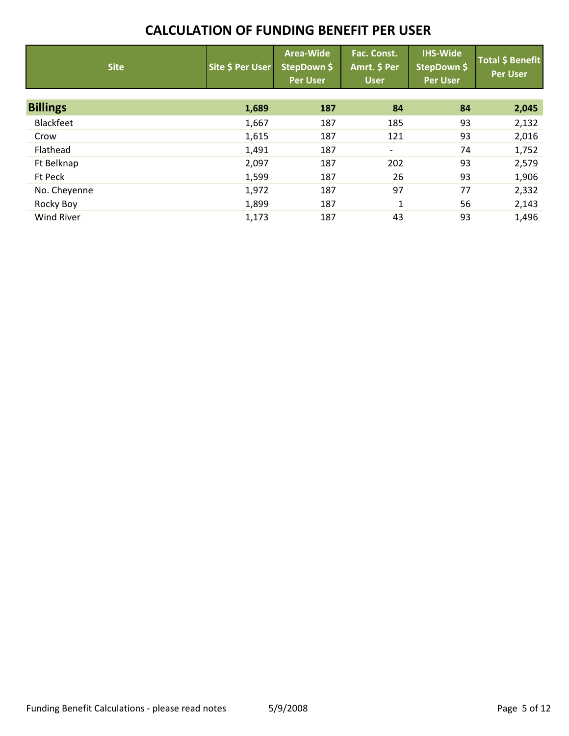| <b>Site</b>       | Site \$ Per User | Area-Wide<br>StepDown \$<br><b>Per User</b> | Fac. Const.<br>Amrt. \$ Per<br><b>User</b> | <b>IHS-Wide</b><br>StepDown \$<br><b>Per User</b> | <b>Total \$ Benefit</b><br><b>Per User</b> |
|-------------------|------------------|---------------------------------------------|--------------------------------------------|---------------------------------------------------|--------------------------------------------|
| <b>Billings</b>   | 1,689            | 187                                         | 84                                         | 84                                                | 2,045                                      |
| Blackfeet         | 1,667            | 187                                         | 185                                        | 93                                                | 2,132                                      |
| Crow              | 1,615            | 187                                         | 121                                        | 93                                                | 2,016                                      |
| Flathead          | 1,491            | 187                                         | $\overline{\phantom{a}}$                   | 74                                                | 1,752                                      |
| Ft Belknap        | 2,097            | 187                                         | 202                                        | 93                                                | 2,579                                      |
| Ft Peck           | 1,599            | 187                                         | 26                                         | 93                                                | 1,906                                      |
| No. Cheyenne      | 1,972            | 187                                         | 97                                         | 77                                                | 2,332                                      |
| Rocky Boy         | 1,899            | 187                                         | $\mathbf 1$                                | 56                                                | 2,143                                      |
| <b>Wind River</b> | 1,173            | 187                                         | 43                                         | 93                                                | 1,496                                      |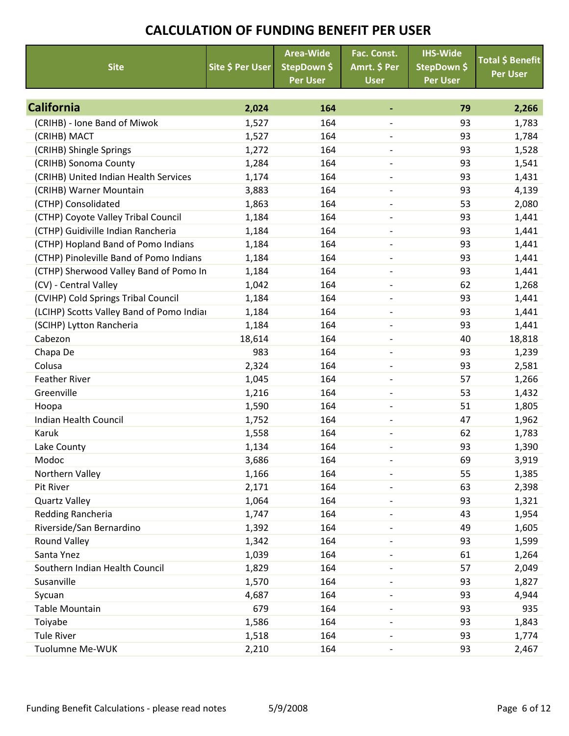| <b>Site</b>                               | Site \$ Per User | <b>Area-Wide</b><br>StepDown \$<br><b>Per User</b> | Fac. Const.<br>Amrt. \$ Per<br><b>User</b> | <b>IHS-Wide</b><br>StepDown \$<br><b>Per User</b> | Total \$ Benefit<br><b>Per User</b> |
|-------------------------------------------|------------------|----------------------------------------------------|--------------------------------------------|---------------------------------------------------|-------------------------------------|
|                                           |                  |                                                    |                                            |                                                   |                                     |
| <b>California</b>                         | 2,024            | 164                                                | ٠                                          | 79                                                | 2,266                               |
| (CRIHB) - Ione Band of Miwok              | 1,527            | 164                                                | $\overline{a}$                             | 93                                                | 1,783                               |
| (CRIHB) MACT                              | 1,527            | 164                                                | $\overline{\phantom{a}}$                   | 93                                                | 1,784                               |
| (CRIHB) Shingle Springs                   | 1,272            | 164                                                |                                            | 93                                                | 1,528                               |
| (CRIHB) Sonoma County                     | 1,284            | 164                                                | $\overline{\phantom{a}}$                   | 93                                                | 1,541                               |
| (CRIHB) United Indian Health Services     | 1,174            | 164                                                | $\overline{\phantom{a}}$                   | 93                                                | 1,431                               |
| (CRIHB) Warner Mountain                   | 3,883            | 164                                                | $\qquad \qquad -$                          | 93                                                | 4,139                               |
| (CTHP) Consolidated                       | 1,863            | 164                                                | $\overline{\phantom{a}}$                   | 53                                                | 2,080                               |
| (CTHP) Coyote Valley Tribal Council       | 1,184            | 164                                                | $\overline{a}$                             | 93                                                | 1,441                               |
| (CTHP) Guidiville Indian Rancheria        | 1,184            | 164                                                | $\overline{\phantom{a}}$                   | 93                                                | 1,441                               |
| (CTHP) Hopland Band of Pomo Indians       | 1,184            | 164                                                |                                            | 93                                                | 1,441                               |
| (CTHP) Pinoleville Band of Pomo Indians   | 1,184            | 164                                                | $\overline{\phantom{a}}$                   | 93                                                | 1,441                               |
| (CTHP) Sherwood Valley Band of Pomo In    | 1,184            | 164                                                | $\qquad \qquad -$                          | 93                                                | 1,441                               |
| (CV) - Central Valley                     | 1,042            | 164                                                | $\overline{\phantom{a}}$                   | 62                                                | 1,268                               |
| (CVIHP) Cold Springs Tribal Council       | 1,184            | 164                                                | $\overline{\phantom{a}}$                   | 93                                                | 1,441                               |
| (LCIHP) Scotts Valley Band of Pomo Indiar | 1,184            | 164                                                | $\overline{a}$                             | 93                                                | 1,441                               |
| (SCIHP) Lytton Rancheria                  | 1,184            | 164                                                | $\overline{\phantom{a}}$                   | 93                                                | 1,441                               |
| Cabezon                                   | 18,614           | 164                                                |                                            | 40                                                | 18,818                              |
| Chapa De                                  | 983              | 164                                                | $\overline{\phantom{a}}$                   | 93                                                | 1,239                               |
| Colusa                                    | 2,324            | 164                                                | $\overline{\phantom{a}}$                   | 93                                                | 2,581                               |
| <b>Feather River</b>                      | 1,045            | 164                                                | $\overline{a}$                             | 57                                                | 1,266                               |
| Greenville                                | 1,216            | 164                                                | $\overline{\phantom{0}}$                   | 53                                                | 1,432                               |
| Hoopa                                     | 1,590            | 164                                                |                                            | 51                                                | 1,805                               |
| <b>Indian Health Council</b>              | 1,752            | 164                                                | $\overline{\phantom{a}}$                   | 47                                                | 1,962                               |
| Karuk                                     | 1,558            | 164                                                | $\overline{\phantom{a}}$                   | 62                                                | 1,783                               |
| Lake County                               | 1,134            | 164                                                | $\overline{a}$                             | 93                                                | 1,390                               |
| Modoc                                     | 3,686            | 164                                                |                                            | 69                                                | 3,919                               |
| Northern Valley                           | 1,166            | 164                                                |                                            | 55                                                | 1,385                               |
| Pit River                                 | 2,171            | 164                                                | $\overline{\phantom{a}}$                   | 63                                                | 2,398                               |
| <b>Quartz Valley</b>                      | 1,064            | 164                                                |                                            | 93                                                | 1,321                               |
| Redding Rancheria                         | 1,747            | 164                                                |                                            | 43                                                | 1,954                               |
| Riverside/San Bernardino                  | 1,392            | 164                                                |                                            | 49                                                | 1,605                               |
| <b>Round Valley</b>                       | 1,342            | 164                                                |                                            | 93                                                | 1,599                               |
| Santa Ynez                                | 1,039            | 164                                                |                                            | 61                                                | 1,264                               |
| Southern Indian Health Council            | 1,829            | 164                                                |                                            | 57                                                | 2,049                               |
| Susanville                                | 1,570            | 164                                                |                                            | 93                                                | 1,827                               |
| Sycuan                                    | 4,687            | 164                                                |                                            | 93                                                | 4,944                               |
| Table Mountain                            | 679              | 164                                                | $\overline{\phantom{a}}$                   | 93                                                | 935                                 |
| Toiyabe                                   | 1,586            | 164                                                |                                            | 93                                                | 1,843                               |
| <b>Tule River</b>                         | 1,518            | 164                                                |                                            | 93                                                | 1,774                               |
| Tuolumne Me-WUK                           | 2,210            | 164                                                |                                            | 93                                                | 2,467                               |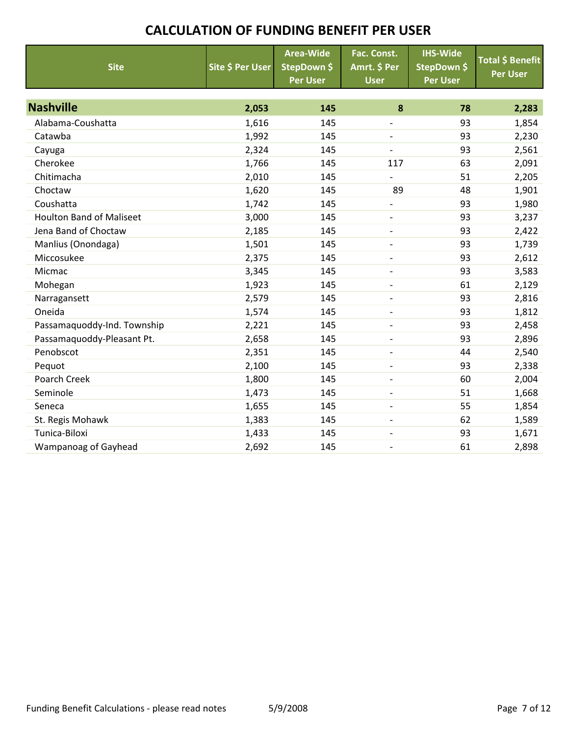| <b>Site</b>                     | Site \$ Per User | <b>Area-Wide</b><br>StepDown \$<br><b>Per User</b> | Fac. Const.<br>Amrt. \$ Per<br><b>User</b> | <b>IHS-Wide</b><br>StepDown \$<br><b>Per User</b> | Total \$ Benefit<br><b>Per User</b> |
|---------------------------------|------------------|----------------------------------------------------|--------------------------------------------|---------------------------------------------------|-------------------------------------|
| <b>Nashville</b>                | 2,053            | 145                                                | 8                                          | 78                                                | 2,283                               |
| Alabama-Coushatta               | 1,616            | 145                                                | $\overline{\phantom{a}}$                   | 93                                                | 1,854                               |
| Catawba                         | 1,992            | 145                                                |                                            | 93                                                | 2,230                               |
| Cayuga                          | 2,324            | 145                                                | $\overline{\phantom{a}}$                   | 93                                                | 2,561                               |
| Cherokee                        | 1,766            | 145                                                | 117                                        | 63                                                | 2,091                               |
| Chitimacha                      | 2,010            | 145                                                | $\overline{\phantom{a}}$                   | 51                                                | 2,205                               |
| Choctaw                         | 1,620            | 145                                                | 89                                         | 48                                                | 1,901                               |
| Coushatta                       | 1,742            | 145                                                |                                            | 93                                                | 1,980                               |
| <b>Houlton Band of Maliseet</b> | 3,000            | 145                                                | $\qquad \qquad -$                          | 93                                                | 3,237                               |
| Jena Band of Choctaw            | 2,185            | 145                                                | $\overline{\phantom{a}}$                   | 93                                                | 2,422                               |
| Manlius (Onondaga)              | 1,501            | 145                                                | $\overline{\phantom{a}}$                   | 93                                                | 1,739                               |
| Miccosukee                      | 2,375            | 145                                                |                                            | 93                                                | 2,612                               |
| Micmac                          | 3,345            | 145                                                | $\overline{\phantom{a}}$                   | 93                                                | 3,583                               |
| Mohegan                         | 1,923            | 145                                                | $\overline{\phantom{a}}$                   | 61                                                | 2,129                               |
| Narragansett                    | 2,579            | 145                                                | $\qquad \qquad -$                          | 93                                                | 2,816                               |
| Oneida                          | 1,574            | 145                                                |                                            | 93                                                | 1,812                               |
| Passamaquoddy-Ind. Township     | 2,221            | 145                                                | $\overline{\phantom{a}}$                   | 93                                                | 2,458                               |
| Passamaquoddy-Pleasant Pt.      | 2,658            | 145                                                | $\overline{\phantom{a}}$                   | 93                                                | 2,896                               |
| Penobscot                       | 2,351            | 145                                                | $\overline{\phantom{0}}$                   | 44                                                | 2,540                               |
| Pequot                          | 2,100            | 145                                                | $\overline{\phantom{a}}$                   | 93                                                | 2,338                               |
| Poarch Creek                    | 1,800            | 145                                                |                                            | 60                                                | 2,004                               |
| Seminole                        | 1,473            | 145                                                | $\overline{\phantom{a}}$                   | 51                                                | 1,668                               |
| Seneca                          | 1,655            | 145                                                | $\overline{\phantom{a}}$                   | 55                                                | 1,854                               |
| St. Regis Mohawk                | 1,383            | 145                                                | $\overline{\phantom{a}}$                   | 62                                                | 1,589                               |
| Tunica-Biloxi                   | 1,433            | 145                                                | $\overline{\phantom{a}}$                   | 93                                                | 1,671                               |
| Wampanoag of Gayhead            | 2,692            | 145                                                | $\overline{\phantom{a}}$                   | 61                                                | 2,898                               |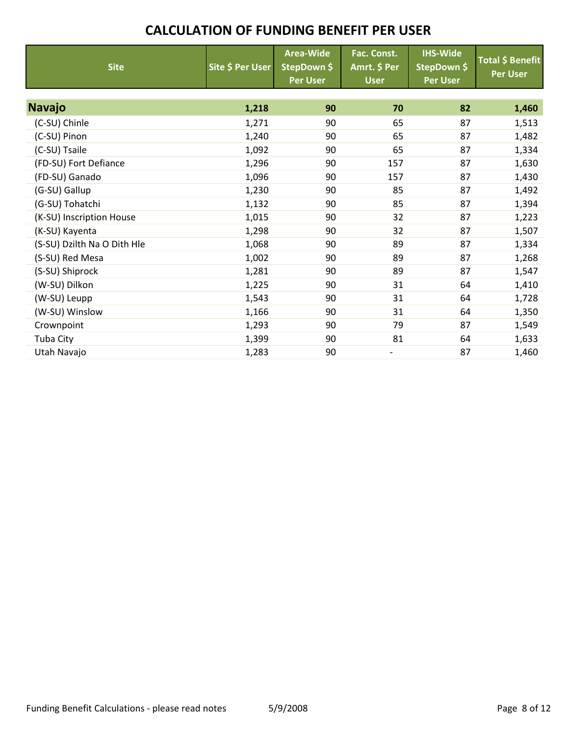| <b>Site</b>                 | Site \$ Per User | <b>Area-Wide</b><br>StepDown \$<br><b>Per User</b> | Fac. Const.<br>Amrt. \$ Per<br><b>User</b> | <b>IHS-Wide</b><br>StepDown \$<br><b>Per User</b> | Total \$ Benefit<br><b>Per User</b> |
|-----------------------------|------------------|----------------------------------------------------|--------------------------------------------|---------------------------------------------------|-------------------------------------|
|                             |                  |                                                    |                                            |                                                   |                                     |
| <b>Navajo</b>               | 1,218            | 90                                                 | 70                                         | 82                                                | 1,460                               |
| (C-SU) Chinle               | 1,271            | 90                                                 | 65                                         | 87                                                | 1,513                               |
| (C-SU) Pinon                | 1,240            | 90                                                 | 65                                         | 87                                                | 1,482                               |
| (C-SU) Tsaile               | 1,092            | 90                                                 | 65                                         | 87                                                | 1,334                               |
| (FD-SU) Fort Defiance       | 1,296            | 90                                                 | 157                                        | 87                                                | 1,630                               |
| (FD-SU) Ganado              | 1,096            | 90                                                 | 157                                        | 87                                                | 1,430                               |
| (G-SU) Gallup               | 1,230            | 90                                                 | 85                                         | 87                                                | 1,492                               |
| (G-SU) Tohatchi             | 1,132            | 90                                                 | 85                                         | 87                                                | 1,394                               |
| (K-SU) Inscription House    | 1,015            | 90                                                 | 32                                         | 87                                                | 1,223                               |
| (K-SU) Kayenta              | 1,298            | 90                                                 | 32                                         | 87                                                | 1,507                               |
| (S-SU) Dzilth Na O Dith Hle | 1,068            | 90                                                 | 89                                         | 87                                                | 1,334                               |
| (S-SU) Red Mesa             | 1,002            | 90                                                 | 89                                         | 87                                                | 1,268                               |
| (S-SU) Shiprock             | 1,281            | 90                                                 | 89                                         | 87                                                | 1,547                               |
| (W-SU) Dilkon               | 1,225            | 90                                                 | 31                                         | 64                                                | 1,410                               |
| (W-SU) Leupp                | 1,543            | 90                                                 | 31                                         | 64                                                | 1,728                               |
| (W-SU) Winslow              | 1,166            | 90                                                 | 31                                         | 64                                                | 1,350                               |
| Crownpoint                  | 1,293            | 90                                                 | 79                                         | 87                                                | 1,549                               |
| Tuba City                   | 1,399            | 90                                                 | 81                                         | 64                                                | 1,633                               |
| Utah Navajo                 | 1,283            | 90                                                 |                                            | 87                                                | 1,460                               |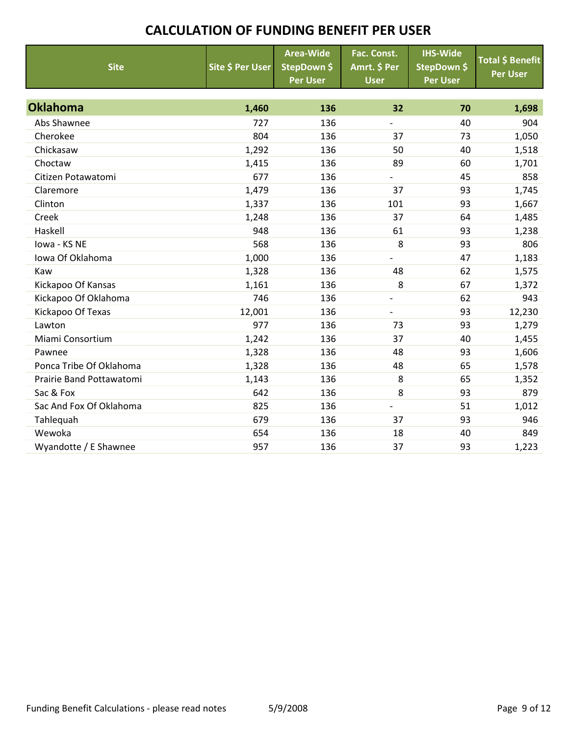| <b>Site</b>              | Site \$ Per User | <b>Area-Wide</b><br>StepDown \$<br><b>Per User</b> | Fac. Const.<br>Amrt. \$ Per<br><b>User</b> | <b>IHS-Wide</b><br>StepDown \$<br><b>Per User</b> | <b>Total \$ Benefit</b><br><b>Per User</b> |
|--------------------------|------------------|----------------------------------------------------|--------------------------------------------|---------------------------------------------------|--------------------------------------------|
| <b>Oklahoma</b>          | 1,460            | 136                                                | 32                                         | 70                                                | 1,698                                      |
| Abs Shawnee              | 727              | 136                                                | $\overline{\phantom{0}}$                   | 40                                                | 904                                        |
| Cherokee                 | 804              | 136                                                | 37                                         | 73                                                | 1,050                                      |
| Chickasaw                | 1,292            | 136                                                | 50                                         | 40                                                | 1,518                                      |
| Choctaw                  | 1,415            | 136                                                | 89                                         | 60                                                | 1,701                                      |
| Citizen Potawatomi       | 677              | 136                                                | $\overline{\phantom{a}}$                   | 45                                                | 858                                        |
| Claremore                | 1,479            | 136                                                | 37                                         | 93                                                | 1,745                                      |
| Clinton                  | 1,337            | 136                                                | 101                                        | 93                                                | 1,667                                      |
| Creek                    | 1,248            | 136                                                | 37                                         | 64                                                | 1,485                                      |
| Haskell                  | 948              | 136                                                | 61                                         | 93                                                | 1,238                                      |
| Iowa - KS NE             | 568              | 136                                                | 8                                          | 93                                                | 806                                        |
| Iowa Of Oklahoma         | 1,000            | 136                                                |                                            | 47                                                | 1,183                                      |
| Kaw                      | 1,328            | 136                                                | 48                                         | 62                                                | 1,575                                      |
| Kickapoo Of Kansas       | 1,161            | 136                                                | 8                                          | 67                                                | 1,372                                      |
| Kickapoo Of Oklahoma     | 746              | 136                                                | $\overline{\phantom{a}}$                   | 62                                                | 943                                        |
| Kickapoo Of Texas        | 12,001           | 136                                                |                                            | 93                                                | 12,230                                     |
| Lawton                   | 977              | 136                                                | 73                                         | 93                                                | 1,279                                      |
| Miami Consortium         | 1,242            | 136                                                | 37                                         | 40                                                | 1,455                                      |
| Pawnee                   | 1,328            | 136                                                | 48                                         | 93                                                | 1,606                                      |
| Ponca Tribe Of Oklahoma  | 1,328            | 136                                                | 48                                         | 65                                                | 1,578                                      |
| Prairie Band Pottawatomi | 1,143            | 136                                                | 8                                          | 65                                                | 1,352                                      |
| Sac & Fox                | 642              | 136                                                | 8                                          | 93                                                | 879                                        |
| Sac And Fox Of Oklahoma  | 825              | 136                                                | $\qquad \qquad \blacksquare$               | 51                                                | 1,012                                      |
| Tahlequah                | 679              | 136                                                | 37                                         | 93                                                | 946                                        |
| Wewoka                   | 654              | 136                                                | 18                                         | 40                                                | 849                                        |
| Wyandotte / E Shawnee    | 957              | 136                                                | 37                                         | 93                                                | 1,223                                      |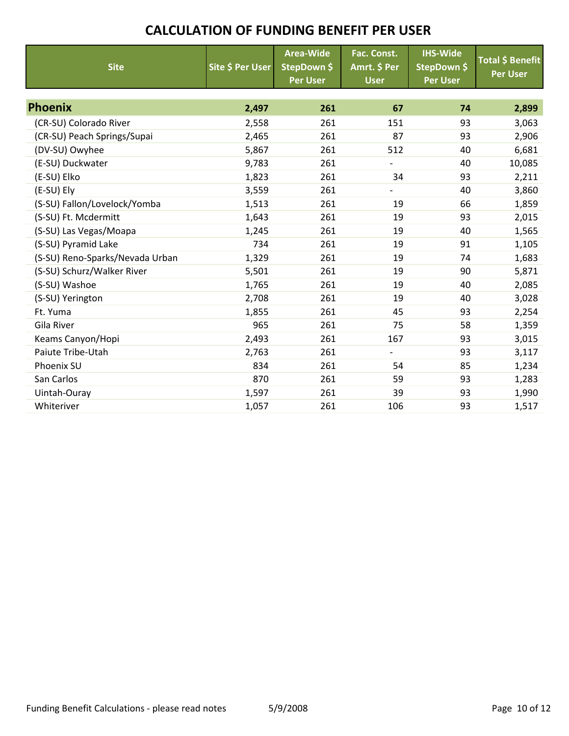| <b>Site</b>                     | Site \$ Per User | <b>Area-Wide</b><br>StepDown \$<br><b>Per User</b> | Fac. Const.<br>Amrt. \$ Per<br><b>User</b> | <b>IHS-Wide</b><br>StepDown \$<br><b>Per User</b> | Total \$ Benefit<br><b>Per User</b> |
|---------------------------------|------------------|----------------------------------------------------|--------------------------------------------|---------------------------------------------------|-------------------------------------|
|                                 |                  |                                                    |                                            |                                                   |                                     |
| <b>Phoenix</b>                  | 2,497            | 261                                                | 67                                         | 74                                                | 2,899                               |
| (CR-SU) Colorado River          | 2,558            | 261                                                | 151                                        | 93                                                | 3,063                               |
| (CR-SU) Peach Springs/Supai     | 2,465            | 261                                                | 87                                         | 93                                                | 2,906                               |
| (DV-SU) Owyhee                  | 5,867            | 261                                                | 512                                        | 40                                                | 6,681                               |
| (E-SU) Duckwater                | 9,783            | 261                                                | $\overline{\phantom{0}}$                   | 40                                                | 10,085                              |
| (E-SU) Elko                     | 1,823            | 261                                                | 34                                         | 93                                                | 2,211                               |
| (E-SU) Ely                      | 3,559            | 261                                                |                                            | 40                                                | 3,860                               |
| (S-SU) Fallon/Lovelock/Yomba    | 1,513            | 261                                                | 19                                         | 66                                                | 1,859                               |
| (S-SU) Ft. Mcdermitt            | 1,643            | 261                                                | 19                                         | 93                                                | 2,015                               |
| (S-SU) Las Vegas/Moapa          | 1,245            | 261                                                | 19                                         | 40                                                | 1,565                               |
| (S-SU) Pyramid Lake             | 734              | 261                                                | 19                                         | 91                                                | 1,105                               |
| (S-SU) Reno-Sparks/Nevada Urban | 1,329            | 261                                                | 19                                         | 74                                                | 1,683                               |
| (S-SU) Schurz/Walker River      | 5,501            | 261                                                | 19                                         | 90                                                | 5,871                               |
| (S-SU) Washoe                   | 1,765            | 261                                                | 19                                         | 40                                                | 2,085                               |
| (S-SU) Yerington                | 2,708            | 261                                                | 19                                         | 40                                                | 3,028                               |
| Ft. Yuma                        | 1,855            | 261                                                | 45                                         | 93                                                | 2,254                               |
| Gila River                      | 965              | 261                                                | 75                                         | 58                                                | 1,359                               |
| Keams Canyon/Hopi               | 2,493            | 261                                                | 167                                        | 93                                                | 3,015                               |
| Paiute Tribe-Utah               | 2,763            | 261                                                | $\overline{\phantom{0}}$                   | 93                                                | 3,117                               |
| Phoenix SU                      | 834              | 261                                                | 54                                         | 85                                                | 1,234                               |
| San Carlos                      | 870              | 261                                                | 59                                         | 93                                                | 1,283                               |
| Uintah-Ouray                    | 1,597            | 261                                                | 39                                         | 93                                                | 1,990                               |
| Whiteriver                      | 1,057            | 261                                                | 106                                        | 93                                                | 1,517                               |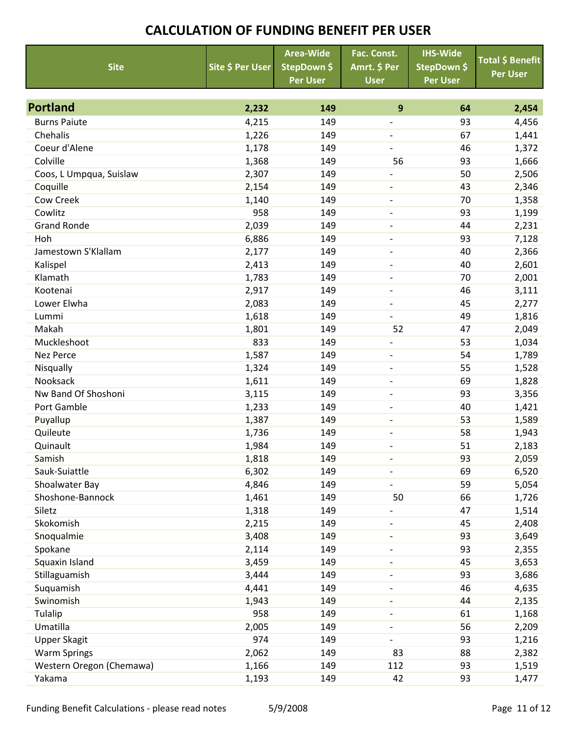|                          |                  | <b>Area-Wide</b> | Fac. Const.              | <b>IHS-Wide</b> | Total \$ Benefit |
|--------------------------|------------------|------------------|--------------------------|-----------------|------------------|
| <b>Site</b>              | Site \$ Per User | StepDown \$      | Amrt. \$ Per             | StepDown \$     | <b>Per User</b>  |
|                          |                  | <b>Per User</b>  | <b>User</b>              | <b>Per User</b> |                  |
|                          |                  |                  |                          |                 |                  |
| <b>Portland</b>          | 2,232            | 149              | 9                        | 64              | 2,454            |
| <b>Burns Paiute</b>      | 4,215            | 149              | $\overline{a}$           | 93              | 4,456            |
| Chehalis                 | 1,226            | 149              | $\overline{\phantom{0}}$ | 67              | 1,441            |
| Coeur d'Alene            | 1,178            | 149              | $\overline{\phantom{a}}$ | 46              | 1,372            |
| Colville                 | 1,368            | 149              | 56                       | 93              | 1,666            |
| Coos, L Umpqua, Suislaw  | 2,307            | 149              |                          | 50              | 2,506            |
| Coquille                 | 2,154            | 149              | $\qquad \qquad -$        | 43              | 2,346            |
| Cow Creek                | 1,140            | 149              | $\overline{\phantom{a}}$ | 70              | 1,358            |
| Cowlitz                  | 958              | 149              | $\qquad \qquad -$        | 93              | 1,199            |
| <b>Grand Ronde</b>       | 2,039            | 149              | $\overline{\phantom{a}}$ | 44              | 2,231            |
| Hoh                      | 6,886            | 149              | $\overline{\phantom{a}}$ | 93              | 7,128            |
| Jamestown S'Klallam      | 2,177            | 149              | $\overline{\phantom{a}}$ | 40              | 2,366            |
| Kalispel                 | 2,413            | 149              | $\overline{\phantom{a}}$ | 40              | 2,601            |
| Klamath                  | 1,783            | 149              | $\overline{\phantom{a}}$ | 70              | 2,001            |
| Kootenai                 | 2,917            | 149              | $\qquad \qquad -$        | 46              | 3,111            |
| Lower Elwha              | 2,083            | 149              | $\qquad \qquad -$        | 45              | 2,277            |
| Lummi                    | 1,618            | 149              | $\overline{\phantom{0}}$ | 49              | 1,816            |
| Makah                    | 1,801            | 149              | 52                       | 47              | 2,049            |
| Muckleshoot              | 833              | 149              | $\overline{\phantom{0}}$ | 53              | 1,034            |
| <b>Nez Perce</b>         | 1,587            | 149              | $\overline{\phantom{0}}$ | 54              | 1,789            |
| Nisqually                | 1,324            | 149              | $\qquad \qquad -$        | 55              | 1,528            |
| Nooksack                 | 1,611            | 149              | $\overline{\phantom{a}}$ | 69              | 1,828            |
| Nw Band Of Shoshoni      | 3,115            | 149              | $\overline{\phantom{a}}$ | 93              | 3,356            |
| Port Gamble              | 1,233            | 149              |                          | 40              | 1,421            |
| Puyallup                 | 1,387            | 149              | $\overline{\phantom{a}}$ | 53              | 1,589            |
| Quileute                 | 1,736            | 149              | -                        | 58              | 1,943            |
| Quinault                 | 1,984            | 149              |                          | 51              | 2,183            |
| Samish                   | 1,818            | 149              | $\overline{\phantom{0}}$ | 93              | 2,059            |
| Sauk-Suiattle            | 6,302            | 149              | $\overline{\phantom{a}}$ | 69              | 6,520            |
| Shoalwater Bay           | 4,846            | 149              |                          | 59              | 5,054            |
| Shoshone-Bannock         | 1,461            | 149              | 50                       | 66              | 1,726            |
| Siletz                   | 1,318            | 149              | $\overline{a}$           | 47              | 1,514            |
| Skokomish                | 2,215            | 149              | $\overline{\phantom{0}}$ | 45              | 2,408            |
| Snoqualmie               | 3,408            | 149              | $\qquad \qquad -$        | 93              | 3,649            |
| Spokane                  | 2,114            | 149              | $\overline{\phantom{0}}$ | 93              | 2,355            |
| Squaxin Island           | 3,459            | 149              | $\overline{\phantom{0}}$ | 45              | 3,653            |
| Stillaguamish            | 3,444            | 149              | $\overline{\phantom{0}}$ | 93              | 3,686            |
| Suquamish                | 4,441            | 149              | $\qquad \qquad -$        | 46              | 4,635            |
| Swinomish                | 1,943            | 149              | $\overline{\phantom{0}}$ | 44              | 2,135            |
| Tulalip                  | 958              | 149              |                          | 61              | 1,168            |
| Umatilla                 | 2,005            | 149              | $\qquad \qquad -$        | 56              | 2,209            |
| <b>Upper Skagit</b>      | 974              | 149              | $\overline{\phantom{0}}$ | 93              | 1,216            |
| <b>Warm Springs</b>      | 2,062            | 149              | 83                       | 88              | 2,382            |
| Western Oregon (Chemawa) | 1,166            | 149              | 112                      | 93              | 1,519            |
| Yakama                   | 1,193            | 149              | 42                       | 93              | 1,477            |